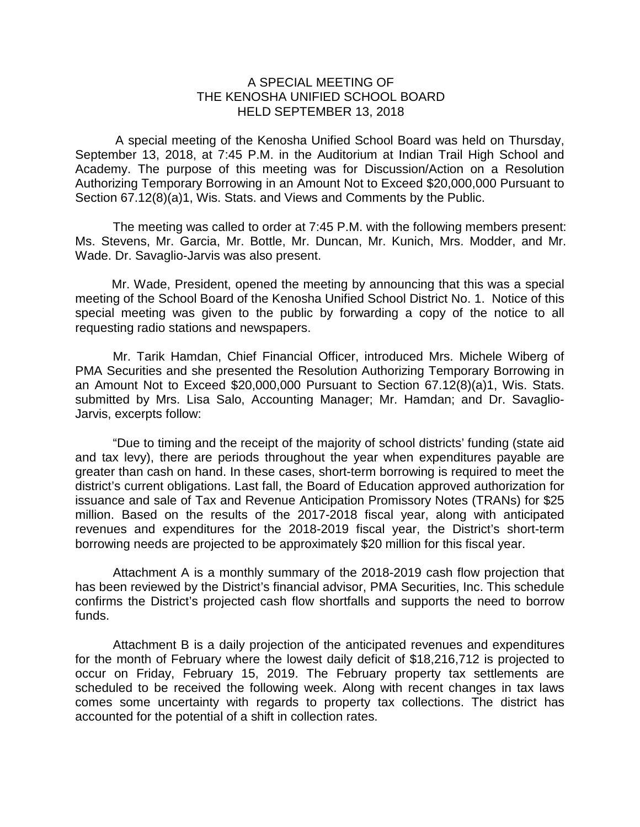## A SPECIAL MEETING OF THE KENOSHA UNIFIED SCHOOL BOARD HELD SEPTEMBER 13, 2018

A special meeting of the Kenosha Unified School Board was held on Thursday, September 13, 2018, at 7:45 P.M. in the Auditorium at Indian Trail High School and Academy. The purpose of this meeting was for Discussion/Action on a Resolution Authorizing Temporary Borrowing in an Amount Not to Exceed \$20,000,000 Pursuant to Section 67.12(8)(a)1, Wis. Stats. and Views and Comments by the Public.

The meeting was called to order at 7:45 P.M. with the following members present: Ms. Stevens, Mr. Garcia, Mr. Bottle, Mr. Duncan, Mr. Kunich, Mrs. Modder, and Mr. Wade. Dr. Savaglio-Jarvis was also present.

Mr. Wade, President, opened the meeting by announcing that this was a special meeting of the School Board of the Kenosha Unified School District No. 1. Notice of this special meeting was given to the public by forwarding a copy of the notice to all requesting radio stations and newspapers.

Mr. Tarik Hamdan, Chief Financial Officer, introduced Mrs. Michele Wiberg of PMA Securities and she presented the Resolution Authorizing Temporary Borrowing in an Amount Not to Exceed \$20,000,000 Pursuant to Section 67.12(8)(a)1, Wis. Stats. submitted by Mrs. Lisa Salo, Accounting Manager; Mr. Hamdan; and Dr. Savaglio-Jarvis, excerpts follow:

"Due to timing and the receipt of the majority of school districts' funding (state aid and tax levy), there are periods throughout the year when expenditures payable are greater than cash on hand. In these cases, short-term borrowing is required to meet the district's current obligations. Last fall, the Board of Education approved authorization for issuance and sale of Tax and Revenue Anticipation Promissory Notes (TRANs) for \$25 million. Based on the results of the 2017-2018 fiscal year, along with anticipated revenues and expenditures for the 2018-2019 fiscal year, the District's short-term borrowing needs are projected to be approximately \$20 million for this fiscal year.

Attachment A is a monthly summary of the 2018-2019 cash flow projection that has been reviewed by the District's financial advisor, PMA Securities, Inc. This schedule confirms the District's projected cash flow shortfalls and supports the need to borrow funds.

Attachment B is a daily projection of the anticipated revenues and expenditures for the month of February where the lowest daily deficit of \$18,216,712 is projected to occur on Friday, February 15, 2019. The February property tax settlements are scheduled to be received the following week. Along with recent changes in tax laws comes some uncertainty with regards to property tax collections. The district has accounted for the potential of a shift in collection rates.